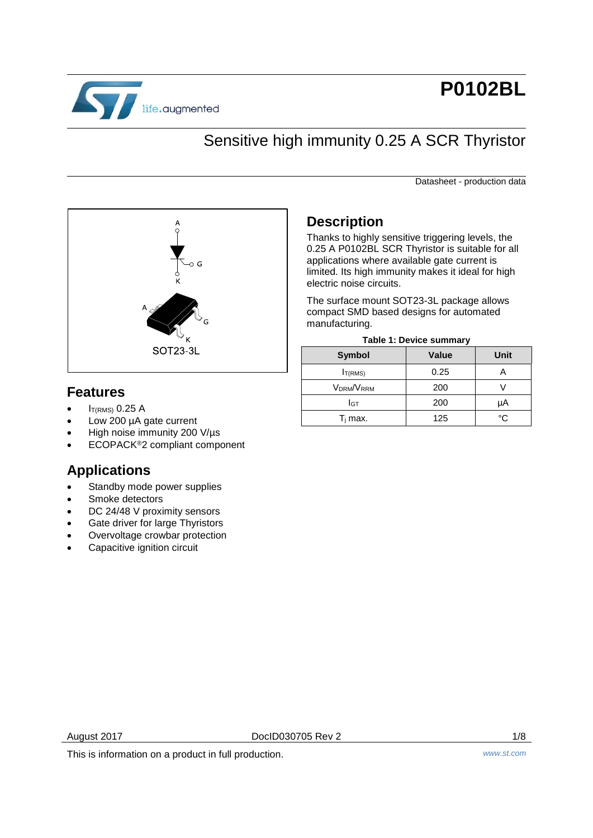

# **P0102BL**

# Sensitive high immunity 0.25 A SCR Thyristor

Datasheet - production data



# **Features**

- $I<sub>T(RMS)</sub>$  0.25 A
- Low 200 µA gate current
- High noise immunity 200 V/µs
- ECOPACK®2 compliant component

# **Applications**

- Standby mode power supplies
- Smoke detectors
- DC 24/48 V proximity sensors
- Gate driver for large Thyristors
- Overvoltage crowbar protection
- Capacitive ignition circuit

# **Description**

Thanks to highly sensitive triggering levels, the 0.25 A P0102BL SCR Thyristor is suitable for all applications where available gate current is limited. Its high immunity makes it ideal for high electric noise circuits.

The surface mount SOT23-3L package allows compact SMD based designs for automated manufacturing.

|  |  | <b>Table 1: Device summary</b> |
|--|--|--------------------------------|
|--|--|--------------------------------|

| <b>Symbol</b>       | <b>Value</b> | Unit |
|---------------------|--------------|------|
| I <sub>T(RMS)</sub> | 0.25         |      |
| VDRM/VRRM           | 200          |      |
| Iст                 | 200          | μA   |
| $T_i$ max.          | 125          | °∩   |

August 2017 **DoclD030705 Rev 2 DoclD030705 Rev 2 1/8** 

This is information on a product in full production. *www.st.com*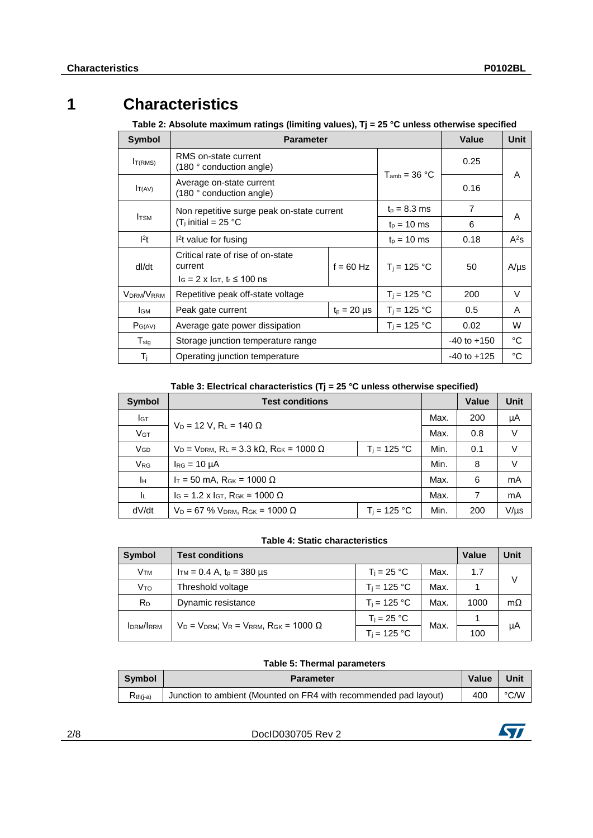# **1 Characteristics**

**Table 2: Absolute maximum ratings (limiting values), Tj = 25 °C unless otherwise specified**

| Symbol                                          | <b>Parameter</b>                                                                                                      |                 | <b>Value</b>      | <b>Unit</b> |           |
|-------------------------------------------------|-----------------------------------------------------------------------------------------------------------------------|-----------------|-------------------|-------------|-----------|
| I <sub>T(RMS)</sub>                             | RMS on-state current<br>$(180°$ conduction angle)                                                                     |                 |                   | 0.25        |           |
| $I_{T(AV)}$                                     | Average on-state current<br>(180 ° conduction angle)                                                                  |                 | $T_{amb}$ = 36 °C | 0.16        | A         |
|                                                 | Non repetitive surge peak on-state current                                                                            |                 | $t_{p} = 8.3$ ms  | 7           |           |
| <b>I</b> TSM<br>(T <sub>i</sub> initial = 25 °C |                                                                                                                       | $t_{p}$ = 10 ms | 6                 | A           |           |
| 1 <sup>2</sup> t                                | $l2t$ value for fusing                                                                                                | $t_{p}$ = 10 ms | 0.18              | $A^2$ s     |           |
| dl/dt                                           | Critical rate of rise of on-state<br>current<br>$f = 60$ Hz<br>$I_G = 2 \times I_{GT}$ , t <sub>r</sub> $\leq 100$ ns |                 | $T_i = 125 °C$    | 50          | $A/\mu s$ |
| <b>VDRM/VRRM</b>                                | Repetitive peak off-state voltage                                                                                     | $T_i = 125 °C$  | 200               | V           |           |
| Iсм                                             | Peak gate current<br>$t_p = 20 \mu s$                                                                                 |                 | $T_i = 125 °C$    | 0.5         | A         |
| $P_{G(AV)}$                                     | $T_i = 125 °C$<br>Average gate power dissipation                                                                      |                 |                   | 0.02        | W         |
| $T_{\text{stg}}$                                | Storage junction temperature range                                                                                    | $-40$ to $+150$ | °C                |             |           |
| $T_{\rm i}$                                     | Operating junction temperature                                                                                        | $-40$ to $+125$ | °C                |             |           |

**Table 3: Electrical characteristics (Tj = 25 °C unless otherwise specified)**

| <b>Symbol</b>         | <b>Test conditions</b>                                                                                |                | Value | <b>Unit</b> |           |
|-----------------------|-------------------------------------------------------------------------------------------------------|----------------|-------|-------------|-----------|
| Iст                   |                                                                                                       |                | Max.  | 200         | μA        |
| <b>V<sub>GT</sub></b> | $V_D = 12 V$ , R <sub>L</sub> = 140 $\Omega$                                                          |                | Max.  | 0.8         | V         |
| <b>V<sub>GD</sub></b> | $V_D = V_{DRM}$ , R <sub>L</sub> = 3.3 k $\Omega$ , R <sub>GK</sub> = 1000 $\Omega$<br>$T_i = 125 °C$ |                |       | 0.1         | V         |
| <b>V<sub>RG</sub></b> | $I_{RG} = 10 \mu A$                                                                                   |                |       | 8           | V         |
| Īн                    | $I_T$ = 50 mA, R <sub>GK</sub> = 1000 Ω                                                               |                |       | 6           | mA        |
| -lu                   | $I_G$ = 1.2 x $I_{GT}$ , R <sub>GK</sub> = 1000 Ω                                                     |                |       |             | mA        |
| dV/dt                 | $V_D = 67$ % $V_{DRM}$ , $R_{GK} = 1000 \Omega$                                                       | $T_i = 125 °C$ | Min.  | 200         | $V/\mu s$ |

## **Table 4: Static characteristics**

| <b>Symbol</b>          | <b>Test conditions</b>                                     |                | <b>Value</b> | Unit |           |
|------------------------|------------------------------------------------------------|----------------|--------------|------|-----------|
| <b>V</b> <sub>TM</sub> | $T_i = 25 °C$<br>$I_{TM} = 0.4$ A, $t_p = 380$ µs<br>Max.  |                |              |      | V         |
| V <sub>TO</sub>        | Threshold voltage                                          | $T_i = 125 °C$ | Max.         |      |           |
| R <sub>D</sub>         | Dynamic resistance                                         | $T_i = 125 °C$ | Max.         | 1000 | $m\Omega$ |
|                        |                                                            | $T_i = 25 °C$  |              |      | μA        |
| IDRM/IRRM              | $V_D = V_{DRM}$ ; $V_R = V_{RRM}$ , $R_{GK} = 1000 \Omega$ | $T_i = 125 °C$ | Max.         | 100  |           |

## **Table 5: Thermal parameters**

| <b>Symbol</b> | Parameter                                                        | Value | Unit |
|---------------|------------------------------------------------------------------|-------|------|
| $R_{th(i-a)}$ | Junction to ambient (Mounted on FR4 with recommended pad layout) | 400   | °C/W |

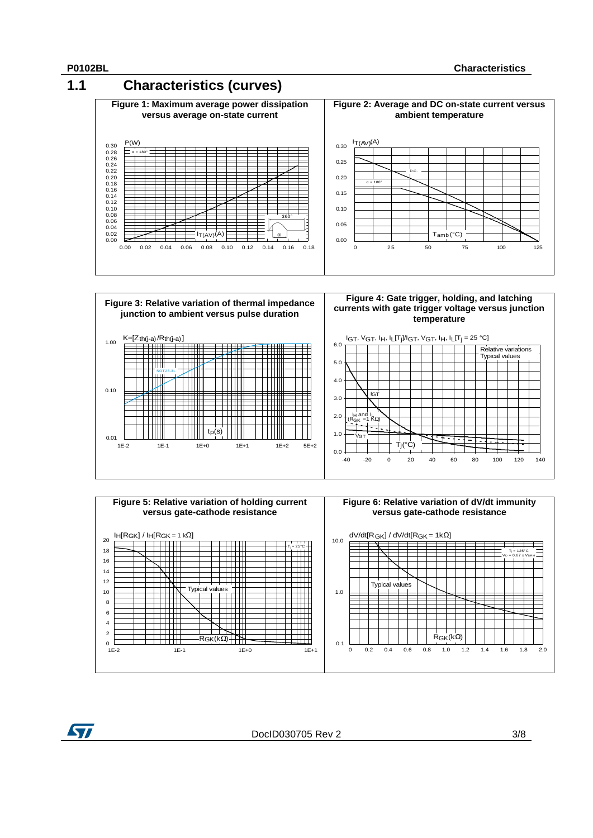57







DocID030705 Rev 2 3/8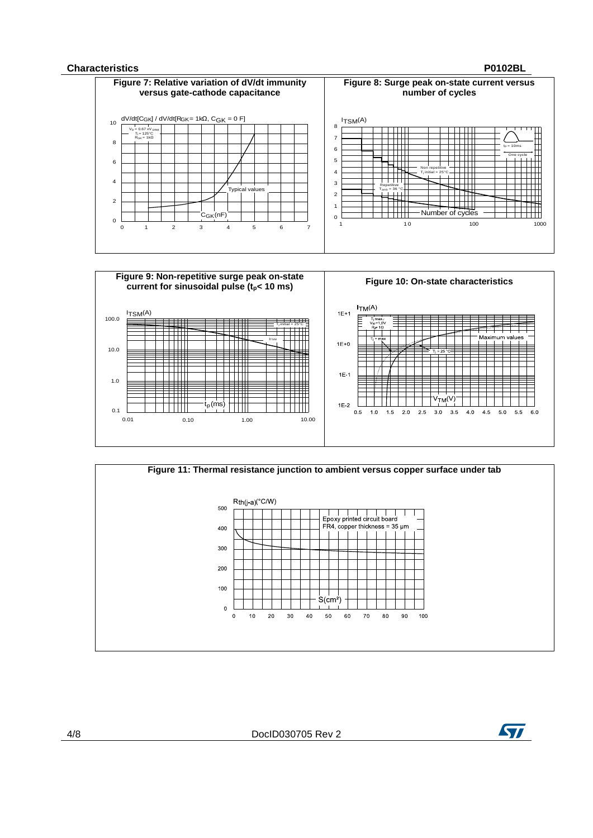#### **Characteristics P0102BL**







4/8 DocID030705 Rev 2

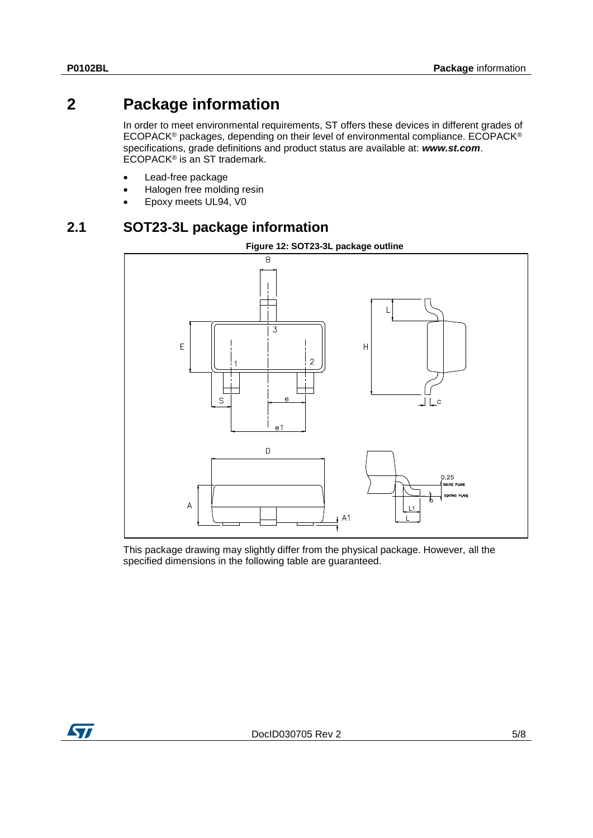# **2 Package information**

In order to meet environmental requirements, ST offers these devices in different grades of ECOPACK® packages, depending on their level of environmental compliance. ECOPACK® specifications, grade definitions and product status are available at: *www.st.com*. ECOPACK® is an ST trademark.

- Lead-free package
- Halogen free molding resin
- Epoxy meets UL94, V0

## **2.1 SOT23-3L package information**



This package drawing may slightly differ from the physical package. However, all the specified dimensions in the following table are guaranteed.

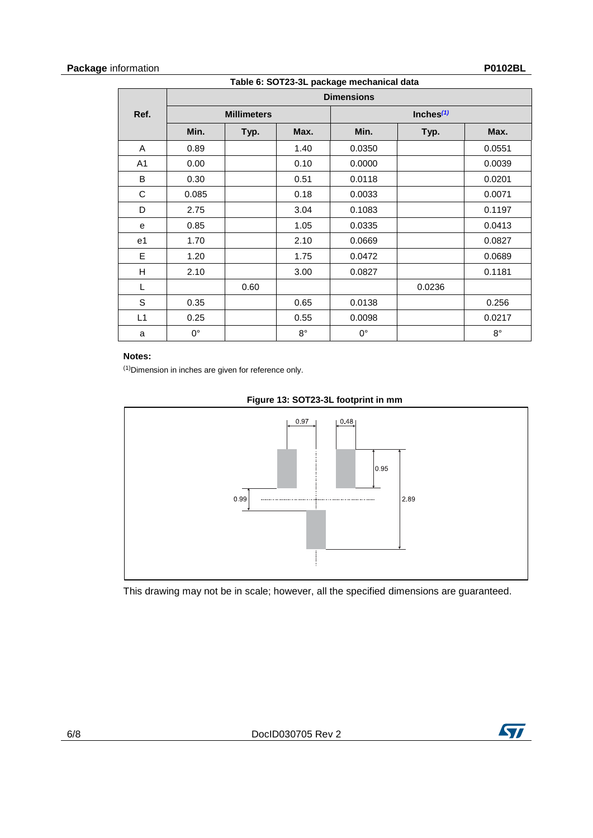## **Package** information **P0102BL**

**Table 6: SOT23-3L package mechanical data**

|             |             |                    |             | <b>Dimensions</b> |              |             |
|-------------|-------------|--------------------|-------------|-------------------|--------------|-------------|
| Ref.        |             | <b>Millimeters</b> |             |                   | Inches $(1)$ |             |
|             | Min.        | Typ.               | Max.        | Min.              | Typ.         | Max.        |
| A           | 0.89        |                    | 1.40        | 0.0350            |              | 0.0551      |
| A1          | 0.00        |                    | 0.10        | 0.0000            |              | 0.0039      |
| B           | 0.30        |                    | 0.51        | 0.0118            |              | 0.0201      |
| $\mathbf C$ | 0.085       |                    | 0.18        | 0.0033            |              | 0.0071      |
| D           | 2.75        |                    | 3.04        | 0.1083            |              | 0.1197      |
| е           | 0.85        |                    | 1.05        | 0.0335            |              | 0.0413      |
| e1          | 1.70        |                    | 2.10        | 0.0669            |              | 0.0827      |
| E           | 1.20        |                    | 1.75        | 0.0472            |              | 0.0689      |
| Н           | 2.10        |                    | 3.00        | 0.0827            |              | 0.1181      |
| L           |             | 0.60               |             |                   | 0.0236       |             |
| S           | 0.35        |                    | 0.65        | 0.0138            |              | 0.256       |
| L1          | 0.25        |                    | 0.55        | 0.0098            |              | 0.0217      |
| a           | $0^{\circ}$ |                    | $8^{\circ}$ | $0^{\circ}$       |              | $8^{\circ}$ |

## **Notes:**

<span id="page-5-0"></span>(1)Dimension in inches are given for reference only.



### **Figure 13: SOT23-3L footprint in mm**

This drawing may not be in scale; however, all the specified dimensions are guaranteed.

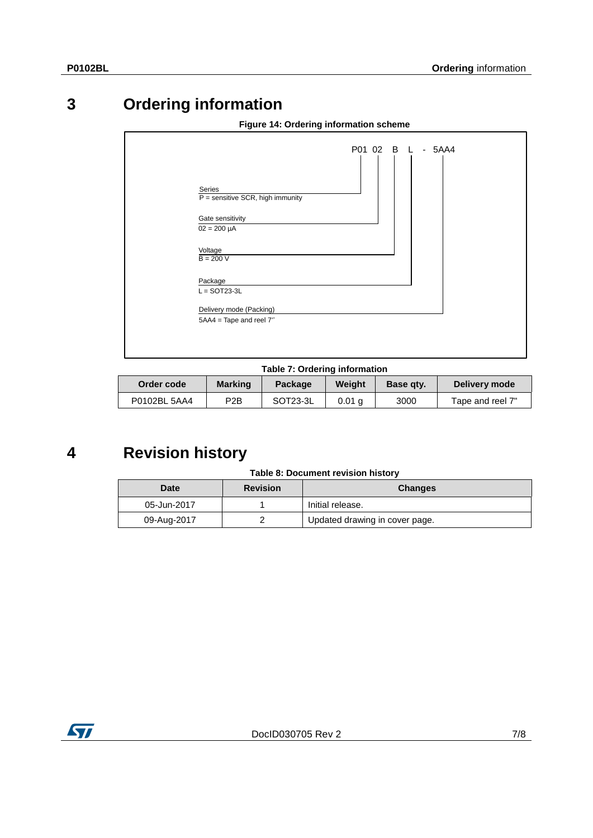# **3 Ordering information**

| Series                               | $P =$ sensitive SCR, high immunity                      | P01 02 B L | $-5AA4$ |  |
|--------------------------------------|---------------------------------------------------------|------------|---------|--|
| Gate sensitivity<br>$02 = 200 \mu A$ |                                                         |            |         |  |
| Voltage<br>$B = 200 V$               |                                                         |            |         |  |
| Package<br>$L =$ SOT23-3L            |                                                         |            |         |  |
|                                      | Delivery mode (Packing)<br>$5AA4 = Tape$ and reel $7$ " |            |         |  |
|                                      |                                                         |            |         |  |

## **Figure 14: Ordering information scheme**

#### **Table 7: Ordering information**

| Order code   | <b>Marking</b>   | Package               | Weiaht             | Base gty. | Delivery mode    |
|--------------|------------------|-----------------------|--------------------|-----------|------------------|
| P0102BL 5AA4 | P <sub>2</sub> B | SOT <sub>23</sub> -3L | $0.01 \; \text{a}$ | 3000      | Tape and reel 7" |

# **4 Revision history**

#### **Table 8: Document revision history**

| <b>Date</b> | <b>Revision</b> | <b>Changes</b>                 |
|-------------|-----------------|--------------------------------|
| 05-Jun-2017 |                 | Initial release.               |
| 09-Aug-2017 |                 | Updated drawing in cover page. |